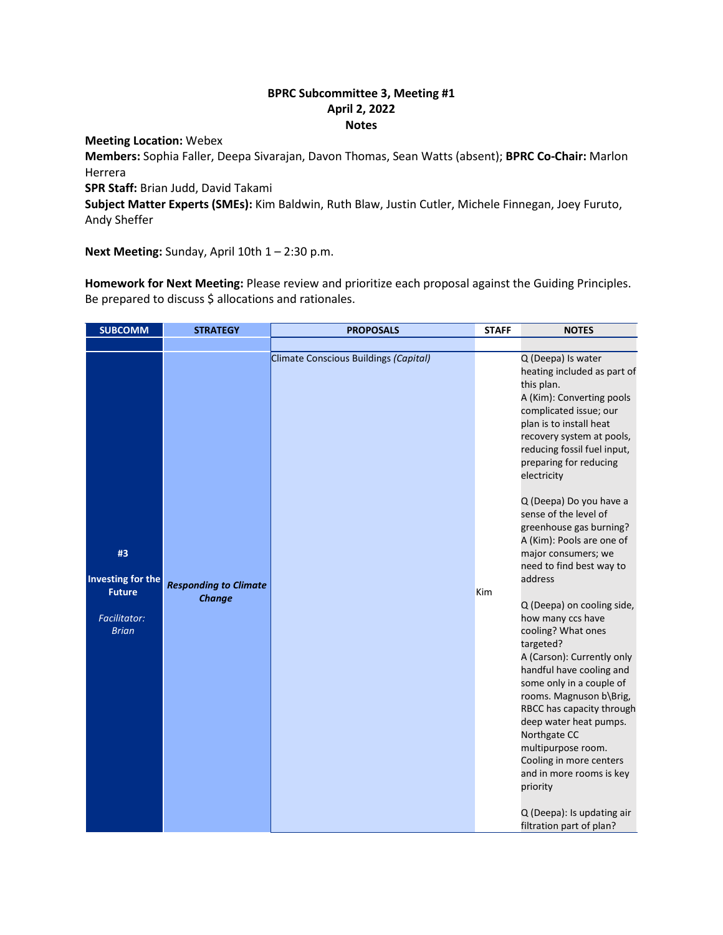## **BPRC Subcommittee 3, Meeting #1 April 2, 2022 Notes**

## **Meeting Location:** Webex

**Members:** Sophia Faller, Deepa Sivarajan, Davon Thomas, Sean Watts (absent); **BPRC Co-Chair:** Marlon Herrera

**SPR Staff:** Brian Judd, David Takami

**Subject Matter Experts (SMEs):** Kim Baldwin, Ruth Blaw, Justin Cutler, Michele Finnegan, Joey Furuto, Andy Sheffer

Next Meeting: Sunday, April 10th 1 - 2:30 p.m.

**Homework for Next Meeting:** Please review and prioritize each proposal against the Guiding Principles. Be prepared to discuss \$ allocations and rationales.

| <b>SUBCOMM</b>                                                                  | <b>STRATEGY</b>                               | <b>PROPOSALS</b>                      | <b>STAFF</b> | <b>NOTES</b>                                                                                                                                                                                                                                                                                                                                                                                                                                                                                                                                                                                                                                                                                                                                                    |
|---------------------------------------------------------------------------------|-----------------------------------------------|---------------------------------------|--------------|-----------------------------------------------------------------------------------------------------------------------------------------------------------------------------------------------------------------------------------------------------------------------------------------------------------------------------------------------------------------------------------------------------------------------------------------------------------------------------------------------------------------------------------------------------------------------------------------------------------------------------------------------------------------------------------------------------------------------------------------------------------------|
|                                                                                 |                                               |                                       |              |                                                                                                                                                                                                                                                                                                                                                                                                                                                                                                                                                                                                                                                                                                                                                                 |
| #3<br>Investing for the<br><b>Future</b><br><b>Facilitator:</b><br><b>Brian</b> | <b>Responding to Climate</b><br><b>Change</b> | Climate Conscious Buildings (Capital) | Kim          | Q (Deepa) Is water<br>heating included as part of<br>this plan.<br>A (Kim): Converting pools<br>complicated issue; our<br>plan is to install heat<br>recovery system at pools,<br>reducing fossil fuel input,<br>preparing for reducing<br>electricity<br>Q (Deepa) Do you have a<br>sense of the level of<br>greenhouse gas burning?<br>A (Kim): Pools are one of<br>major consumers; we<br>need to find best way to<br>address<br>Q (Deepa) on cooling side,<br>how many ccs have<br>cooling? What ones<br>targeted?<br>A (Carson): Currently only<br>handful have cooling and<br>some only in a couple of<br>rooms. Magnuson b\Brig,<br>RBCC has capacity through<br>deep water heat pumps.<br>Northgate CC<br>multipurpose room.<br>Cooling in more centers |
|                                                                                 |                                               |                                       |              | and in more rooms is key<br>priority                                                                                                                                                                                                                                                                                                                                                                                                                                                                                                                                                                                                                                                                                                                            |
|                                                                                 |                                               |                                       |              | Q (Deepa): Is updating air<br>filtration part of plan?                                                                                                                                                                                                                                                                                                                                                                                                                                                                                                                                                                                                                                                                                                          |